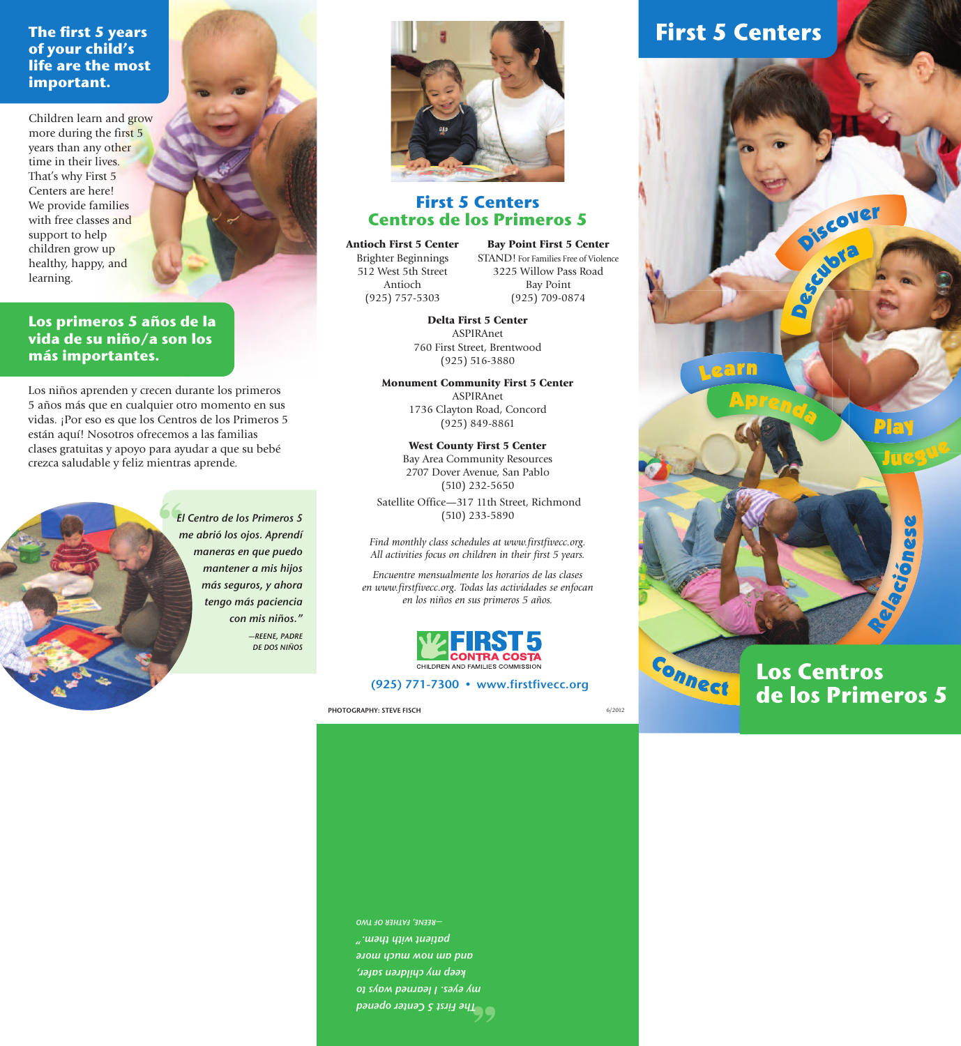**The first 5 years of your child's life are the most important.**

Children learn and grow more during the first 5 years than any other time in their lives. That's why First 5 Centers are here! We provide families with free classes and support to help children grow up healthy, happy, and learning.

**Los primeros 5 años de la vida de su niño/a son los más importantes.**

Los niños aprenden y crecen durante los primeros 5 años más que en cualquier otro momento en sus vidas. ¡Por eso es que los Centros de los Primeros 5 están aquí! Nosotros ofrecemos a las familias clases gratuitas y apoyo para ayudar a que su bebé crezca saludable y feliz mientras aprende.







# **First 5 Centers Centros de los Primeros 5**

**Antioch First 5 Center** Brighter Beginnings 512 West 5th Street Antioch (925) 757-5303

**Bay Point First 5 Center** STAND! For Families Free of Violence 3225 Willow Pass Road Bay Point (925) 709-0874

**Delta First 5 Center** ASPIRAnet 760 First Street, Brentwood (925) 516-3880

**Monument Community First 5 Center** ASPIRAnet 1736 Clayton Road, Concord (925) 849-8861

**West County First 5 Center** Bay Area Community Resources 2707 Dover Avenue, San Pablo (510) 232-5650 Satellite Office—317 11th Street, Richmond (510) 233-5890

*Find monthly class schedules at www.firstfivecc.org. All activities focus on children in their first 5 years.*

*Encuentre mensualmente los horarios de las clases en www.firstfivecc.org. Todas las actividades se enfocan en los niños en sus primeros 5 años.*



# (925) 771-7300 • www.firstfivecc.org

PHOTOGRAPHY: STEVE FISCH

**First 5 Centers** 



**Los Centros** de los Primeros 5